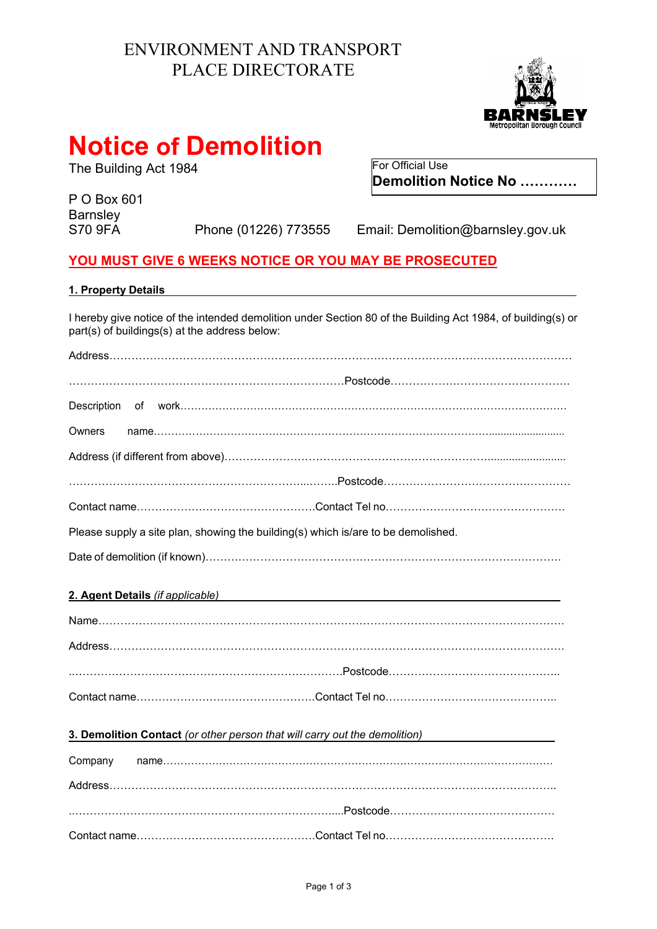## ENVIRONMENT AND TRANSPORT PLACE DIRECTORATE



# **Notice of Demolition**

The Building Act 1984 For Official Use

P O Box 601 Barnsley<br>S70 9FA

Phone (01226) 773555 Email: Demolition@barnsley.gov.uk

**Demolition Notice No …………**

### **YOU MUST GIVE 6 WEEKS NOTICE OR YOU MAY BE PROSECUTED**

| 1. Property Details                                                                                                                                                                                                                 |
|-------------------------------------------------------------------------------------------------------------------------------------------------------------------------------------------------------------------------------------|
| I hereby give notice of the intended demolition under Section 80 of the Building Act 1984, of building(s) or<br>part(s) of buildings(s) at the address below:                                                                       |
|                                                                                                                                                                                                                                     |
|                                                                                                                                                                                                                                     |
|                                                                                                                                                                                                                                     |
| Owners                                                                                                                                                                                                                              |
|                                                                                                                                                                                                                                     |
|                                                                                                                                                                                                                                     |
|                                                                                                                                                                                                                                     |
| Please supply a site plan, showing the building(s) which is/are to be demolished.                                                                                                                                                   |
|                                                                                                                                                                                                                                     |
| 2. Agent Details (if applicable) <b>Example 2.</b> No. 1996. The contract of the contract of the contract of the contract of the contract of the contract of the contract of the contract of the contract of the contract of the co |
|                                                                                                                                                                                                                                     |
|                                                                                                                                                                                                                                     |
|                                                                                                                                                                                                                                     |
|                                                                                                                                                                                                                                     |
| 3. Demolition Contact (or other person that will carry out the demolition)                                                                                                                                                          |
| Company                                                                                                                                                                                                                             |
|                                                                                                                                                                                                                                     |
|                                                                                                                                                                                                                                     |

Contact name………………………………………….Contact Tel no……………………………………….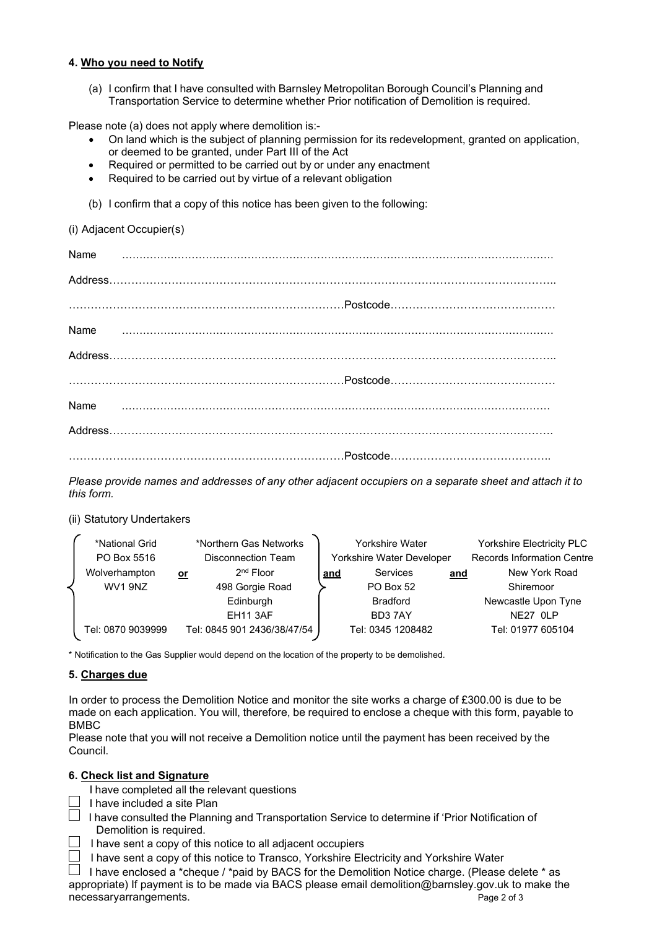#### **4. Who you need to Notify**

(a) I confirm that I have consulted with Barnsley Metropolitan Borough Council's Planning and Transportation Service to determine whether Prior notification of Demolition is required.

Please note (a) does not apply where demolition is:-

- On land which is the subject of planning permission for its redevelopment, granted on application, or deemed to be granted, under Part III of the Act
- Required or permitted to be carried out by or under any enactment
- Required to be carried out by virtue of a relevant obligation
- (b) I confirm that a copy of this notice has been given to the following:

(i) Adjacent Occupier(s)

*Please provide names and addresses of any other adjacent occupiers on a separate sheet and attach it to this form.* 

(ii) Statutory Undertakers

| *National Grid    |           | *Northern Gas Networks      |                           | <b>Yorkshire Water</b> | <b>Yorkshire Electricity PLC</b> |                                   |
|-------------------|-----------|-----------------------------|---------------------------|------------------------|----------------------------------|-----------------------------------|
| PO Box 5516       |           | Disconnection Team          | Yorkshire Water Developer |                        |                                  | <b>Records Information Centre</b> |
| Wolverhampton     | <u>or</u> | $2nd$ Floor                 | <u>and</u>                | Services               | and                              | New York Road                     |
| WV1 9NZ           |           | 498 Gorgie Road             |                           | <b>PO Box 52</b>       |                                  | Shiremoor                         |
|                   |           | Edinburgh                   |                           | <b>Bradford</b>        |                                  | Newcastle Upon Tyne               |
|                   |           | <b>EH11 3AF</b>             |                           | BD37AY                 |                                  | NE27 OLP                          |
| Tel: 0870 9039999 |           | Tel: 0845 901 2436/38/47/54 |                           | Tel: 0345 1208482      |                                  | Tel: 01977 605104                 |
|                   |           |                             |                           |                        |                                  |                                   |

\* Notification to the Gas Supplier would depend on the location of the property to be demolished.

#### **5. Charges due**

 In order to process the Demolition Notice and monitor the site works a charge of £300.00 is due to be made on each application. You will, therefore, be required to enclose a cheque with this form, payable to BMBC

Please note that you will not receive a Demolition notice until the payment has been received by the Council.

#### **6. Check list and Signature**

I have completed all the relevant questions

- $\perp$  I have included a site Plan
- $\Box$  I have consulted the Planning and Transportation Service to determine if 'Prior Notification of Demolition is required.
	- $\perp$  I have sent a copy of this notice to all adjacent occupiers
- $\Box$  I have sent a copy of this notice to Transco, Yorkshire Electricity and Yorkshire Water

Page 2 of 3  $\Box$  I have enclosed a \*cheque / \*paid by BACS for the Demolition Notice charge. (Please delete \* as appropriate) If payment is to be made via BACS please email demolition@barnsley.gov.uk to make the necessaryarrangements.